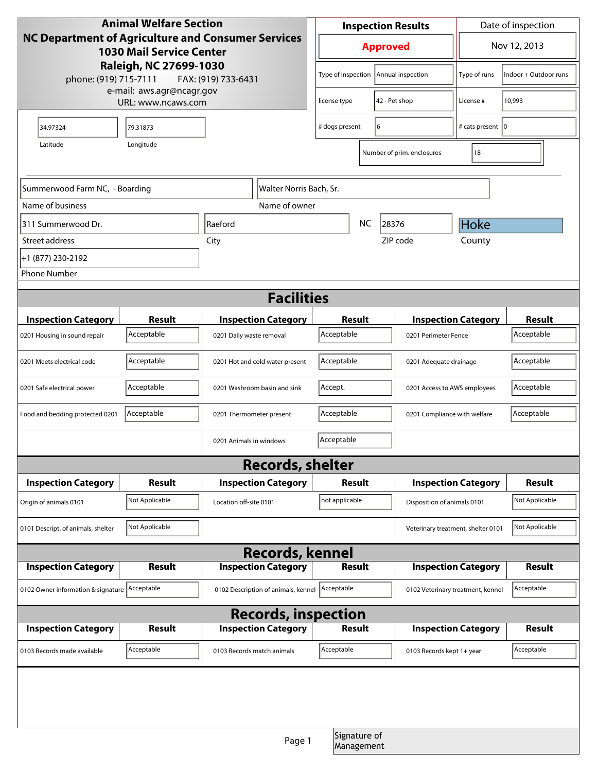| <b>Animal Welfare Section</b>                                                                       |                |                                             | <b>Inspection Results</b>       |                            |                            | Date of inspection                 |                            |                |
|-----------------------------------------------------------------------------------------------------|----------------|---------------------------------------------|---------------------------------|----------------------------|----------------------------|------------------------------------|----------------------------|----------------|
| <b>NC Department of Agriculture and Consumer Services</b><br><b>1030 Mail Service Center</b>        |                |                                             | <b>Approved</b>                 |                            |                            | Nov 12, 2013                       |                            |                |
| Raleigh, NC 27699-1030<br>phone: (919) 715-7111<br>FAX: (919) 733-6431<br>e-mail: aws.agr@ncagr.gov |                | Type of inspection                          |                                 | Annual inspection          | Type of runs               | Indoor + Outdoor runs              |                            |                |
| URL: www.ncaws.com                                                                                  |                |                                             | license type                    |                            | 42 - Pet shop              | License #                          | 10,993                     |                |
| 34.97324                                                                                            | 79.31873       |                                             |                                 |                            | # dogs present<br>6        |                                    | # cats present   0         |                |
| Longitude<br>Latitude                                                                               |                |                                             |                                 |                            | Number of prim. enclosures | 18                                 |                            |                |
|                                                                                                     |                |                                             |                                 |                            |                            |                                    |                            |                |
| Summerwood Farm NC, - Boarding                                                                      |                |                                             | Walter Norris Bach, Sr.         |                            |                            |                                    |                            |                |
| Name of business                                                                                    |                |                                             | Name of owner                   |                            |                            |                                    |                            |                |
| 311 Summerwood Dr.                                                                                  |                | Raeford                                     |                                 | <b>NC</b><br>28376         |                            |                                    | Hoke                       |                |
| Street address                                                                                      |                | City                                        |                                 |                            |                            | ZIP code                           | County                     |                |
| +1 (877) 230-2192                                                                                   |                |                                             |                                 |                            |                            |                                    |                            |                |
| <b>Phone Number</b>                                                                                 |                |                                             |                                 |                            |                            |                                    |                            |                |
| <b>Facilities</b>                                                                                   |                |                                             |                                 |                            |                            |                                    |                            |                |
| <b>Inspection Category</b>                                                                          | Result         |                                             | <b>Inspection Category</b>      | Result                     |                            | <b>Inspection Category</b>         |                            | <b>Result</b>  |
| 0201 Housing in sound repair                                                                        | Acceptable     | 0201 Daily waste removal                    |                                 | Acceptable                 |                            | 0201 Perimeter Fence               |                            | Acceptable     |
| 0201 Meets electrical code                                                                          | Acceptable     |                                             | 0201 Hot and cold water present | Acceptable                 |                            | 0201 Adequate drainage             |                            | Acceptable     |
| 0201 Safe electrical power                                                                          | Acceptable     |                                             | 0201 Washroom basin and sink    | Accept.                    |                            | 0201 Access to AWS employees       |                            | Acceptable     |
| Food and bedding protected 0201                                                                     | Acceptable     | 0201 Thermometer present                    |                                 | Acceptable                 |                            | 0201 Compliance with welfare       |                            | Acceptable     |
|                                                                                                     |                | 0201 Animals in windows                     |                                 | Acceptable                 |                            |                                    |                            |                |
| <b>Records, shelter</b>                                                                             |                |                                             |                                 |                            |                            |                                    |                            |                |
| <b>Inspection Category</b>                                                                          | Result         |                                             | <b>Inspection Category</b>      | <b>Result</b>              |                            | <b>Inspection Category</b>         |                            | <b>Result</b>  |
| Origin of animals 0101                                                                              | Not Applicable | Location off-site 0101                      |                                 | not applicable             |                            | Disposition of animals 0101        |                            | Not Applicable |
| 0101 Descript. of animals, shelter                                                                  | Not Applicable |                                             |                                 |                            |                            | Veterinary treatment, shelter 0101 |                            | Not Applicable |
| <b>Records, kennel</b>                                                                              |                |                                             |                                 |                            |                            |                                    |                            |                |
| <b>Inspection Category</b>                                                                          | <b>Result</b>  | <b>Inspection Category</b><br><b>Result</b> |                                 | <b>Inspection Category</b> |                            | <b>Result</b>                      |                            |                |
| 0102 Owner information & signature Acceptable                                                       |                | 0102 Description of animals, kennel         |                                 | Acceptable                 |                            | 0102 Veterinary treatment, kennel  | Acceptable                 |                |
| <b>Records, inspection</b>                                                                          |                |                                             |                                 |                            |                            |                                    |                            |                |
| <b>Inspection Category</b>                                                                          | Result         |                                             | <b>Inspection Category</b>      | <b>Result</b>              |                            |                                    | <b>Inspection Category</b> | <b>Result</b>  |
| 0103 Records made available                                                                         | Acceptable     | 0103 Records match animals                  |                                 | Acceptable                 |                            | 0103 Records kept 1+ year          |                            | Acceptable     |
|                                                                                                     |                |                                             |                                 |                            |                            |                                    |                            |                |
|                                                                                                     |                |                                             |                                 |                            |                            |                                    |                            |                |
|                                                                                                     |                |                                             | Page 1                          |                            | Signature of<br>Management |                                    |                            |                |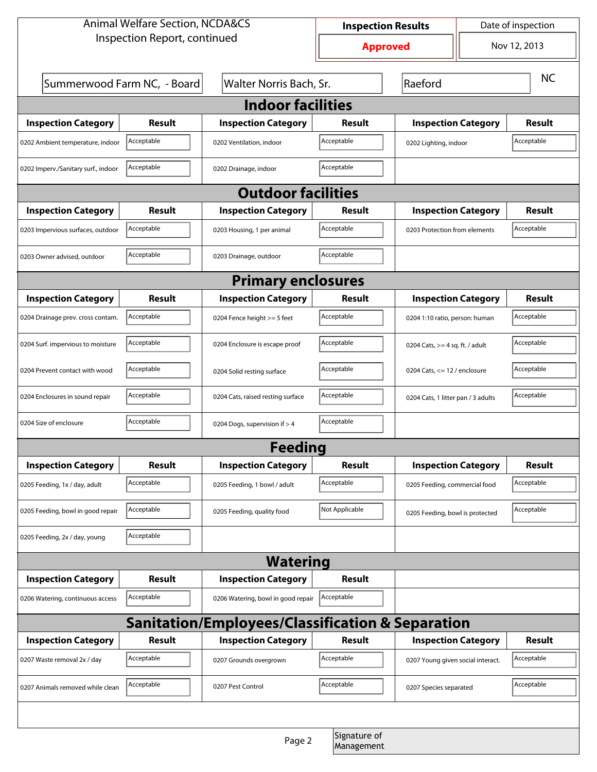| <b>Animal Welfare Section, NCDA&amp;CS</b>                  |                                                        |                                    | Date of inspection<br><b>Inspection Results</b> |                                   |                                    |               |  |  |
|-------------------------------------------------------------|--------------------------------------------------------|------------------------------------|-------------------------------------------------|-----------------------------------|------------------------------------|---------------|--|--|
| Inspection Report, continued                                |                                                        |                                    | <b>Approved</b>                                 |                                   |                                    | Nov 12, 2013  |  |  |
|                                                             | Summerwood Farm NC, - Board<br>Walter Norris Bach, Sr. |                                    |                                                 | Raeford                           |                                    |               |  |  |
| <b>Indoor facilities</b>                                    |                                                        |                                    |                                                 |                                   |                                    |               |  |  |
| <b>Inspection Category</b>                                  | Result                                                 | <b>Inspection Category</b>         | Result                                          | <b>Inspection Category</b>        |                                    | Result        |  |  |
| 0202 Ambient temperature, indoor                            | Acceptable                                             | 0202 Ventilation, indoor           | Acceptable                                      | 0202 Lighting, indoor             |                                    | Acceptable    |  |  |
| 0202 Imperv./Sanitary surf., indoor                         | Acceptable                                             | 0202 Drainage, indoor              | Acceptable                                      |                                   |                                    |               |  |  |
| <b>Outdoor facilities</b>                                   |                                                        |                                    |                                                 |                                   |                                    |               |  |  |
| <b>Inspection Category</b>                                  | Result                                                 | <b>Inspection Category</b>         | Result                                          | <b>Inspection Category</b>        |                                    | Result        |  |  |
| 0203 Impervious surfaces, outdoor                           | Acceptable                                             | 0203 Housing, 1 per animal         | Acceptable                                      | 0203 Protection from elements     |                                    | Acceptable    |  |  |
| 0203 Owner advised, outdoor                                 | Acceptable                                             | 0203 Drainage, outdoor             | Acceptable                                      |                                   |                                    |               |  |  |
| <b>Primary enclosures</b>                                   |                                                        |                                    |                                                 |                                   |                                    |               |  |  |
| <b>Inspection Category</b>                                  | Result                                                 | <b>Inspection Category</b>         | Result                                          | <b>Inspection Category</b>        |                                    | <b>Result</b> |  |  |
| 0204 Drainage prev. cross contam.                           | Acceptable                                             | 0204 Fence height >= 5 feet        | Acceptable                                      | 0204 1:10 ratio, person: human    |                                    | Acceptable    |  |  |
| 0204 Surf. impervious to moisture                           | Acceptable                                             | 0204 Enclosure is escape proof     | Acceptable                                      | 0204 Cats, $>=$ 4 sq. ft. / adult |                                    | Acceptable    |  |  |
| 0204 Prevent contact with wood                              | Acceptable                                             | 0204 Solid resting surface         | Acceptable                                      |                                   | 0204 Cats, $<= 12$ / enclosure     |               |  |  |
| 0204 Enclosures in sound repair                             | Acceptable                                             | 0204 Cats, raised resting surface  | Acceptable                                      |                                   | 0204 Cats, 1 litter pan / 3 adults |               |  |  |
| 0204 Size of enclosure                                      | Acceptable                                             | 0204 Dogs, supervision if > 4      | Acceptable                                      |                                   |                                    |               |  |  |
| <b>Feeding</b>                                              |                                                        |                                    |                                                 |                                   |                                    |               |  |  |
| <b>Inspection Category</b>                                  | <b>Result</b>                                          | <b>Inspection Category</b>         | <b>Result</b>                                   | <b>Inspection Category</b>        |                                    | <b>Result</b> |  |  |
| 0205 Feeding, 1x / day, adult                               | Acceptable                                             | 0205 Feeding, 1 bowl / adult       | Acceptable                                      | 0205 Feeding, commercial food     |                                    | Acceptable    |  |  |
| 0205 Feeding, bowl in good repair                           | Acceptable                                             | 0205 Feeding, quality food         | Not Applicable                                  | 0205 Feeding, bowl is protected   |                                    | Acceptable    |  |  |
| 0205 Feeding, 2x / day, young                               | Acceptable                                             |                                    |                                                 |                                   |                                    |               |  |  |
| <b>Watering</b>                                             |                                                        |                                    |                                                 |                                   |                                    |               |  |  |
| <b>Inspection Category</b>                                  | <b>Result</b>                                          | <b>Inspection Category</b>         | <b>Result</b>                                   |                                   |                                    |               |  |  |
| 0206 Watering, continuous access                            | Acceptable                                             | 0206 Watering, bowl in good repair | Acceptable                                      |                                   |                                    |               |  |  |
| <b>Sanitation/Employees/Classification &amp; Separation</b> |                                                        |                                    |                                                 |                                   |                                    |               |  |  |
| <b>Inspection Category</b>                                  | <b>Result</b>                                          | <b>Inspection Category</b>         | <b>Result</b>                                   | <b>Inspection Category</b>        |                                    | <b>Result</b> |  |  |
| 0207 Waste removal 2x / day                                 | Acceptable                                             | 0207 Grounds overgrown             | Acceptable                                      | 0207 Young given social interact. |                                    | Acceptable    |  |  |
| 0207 Animals removed while clean                            | Acceptable                                             | 0207 Pest Control                  | Acceptable                                      | 0207 Species separated            |                                    | Acceptable    |  |  |
|                                                             |                                                        |                                    |                                                 |                                   |                                    |               |  |  |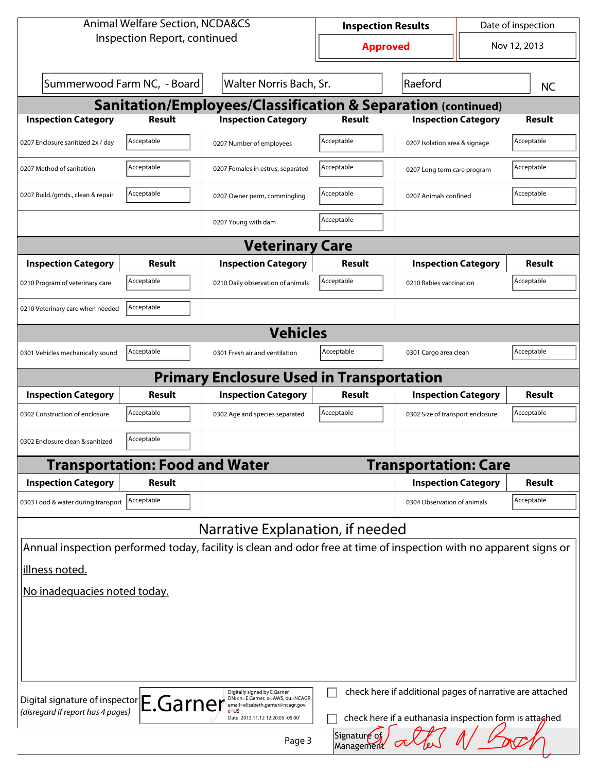| <b>Animal Welfare Section, NCDA&amp;CS</b>                                                                                                                                                                                                                                                                                                        |                                       |                                                                                                                    | <b>Inspection Results</b> |                                  | Date of inspection    |               |  |
|---------------------------------------------------------------------------------------------------------------------------------------------------------------------------------------------------------------------------------------------------------------------------------------------------------------------------------------------------|---------------------------------------|--------------------------------------------------------------------------------------------------------------------|---------------------------|----------------------------------|-----------------------|---------------|--|
| Inspection Report, continued                                                                                                                                                                                                                                                                                                                      |                                       | <b>Approved</b>                                                                                                    |                           | Nov 12, 2013                     |                       |               |  |
| Summerwood Farm NC, - Board<br>Walter Norris Bach, Sr.                                                                                                                                                                                                                                                                                            |                                       |                                                                                                                    | Raeford                   |                                  |                       | <b>NC</b>     |  |
|                                                                                                                                                                                                                                                                                                                                                   |                                       | <b>Sanitation/Employees/Classification &amp; Separation (continued)</b>                                            |                           |                                  |                       |               |  |
| <b>Inspection Category</b>                                                                                                                                                                                                                                                                                                                        | <b>Result</b>                         | <b>Inspection Category</b>                                                                                         | <b>Result</b>             | <b>Inspection Category</b>       |                       | <b>Result</b> |  |
| 0207 Enclosure sanitized 2x / day                                                                                                                                                                                                                                                                                                                 | Acceptable                            | 0207 Number of employees                                                                                           | Acceptable                | 0207 Isolation area & signage    |                       | Acceptable    |  |
| 0207 Method of sanitation                                                                                                                                                                                                                                                                                                                         | Acceptable                            | 0207 Females in estrus, separated                                                                                  | Acceptable                | 0207 Long term care program      |                       | Acceptable    |  |
| 0207 Build./grnds., clean & repair                                                                                                                                                                                                                                                                                                                | Acceptable                            | 0207 Owner perm, commingling                                                                                       | Acceptable                |                                  | 0207 Animals confined |               |  |
|                                                                                                                                                                                                                                                                                                                                                   |                                       | 0207 Young with dam                                                                                                | Acceptable                |                                  |                       |               |  |
| <b>Veterinary Care</b>                                                                                                                                                                                                                                                                                                                            |                                       |                                                                                                                    |                           |                                  |                       |               |  |
| <b>Inspection Category</b>                                                                                                                                                                                                                                                                                                                        | <b>Result</b>                         | <b>Inspection Category</b>                                                                                         | <b>Result</b>             | <b>Inspection Category</b>       |                       | <b>Result</b> |  |
| 0210 Program of veterinary care                                                                                                                                                                                                                                                                                                                   | Acceptable                            | 0210 Daily observation of animals                                                                                  | Acceptable                | 0210 Rabies vaccination          |                       | Acceptable    |  |
| 0210 Veterinary care when needed                                                                                                                                                                                                                                                                                                                  | Acceptable                            |                                                                                                                    |                           |                                  |                       |               |  |
| <b>Vehicles</b>                                                                                                                                                                                                                                                                                                                                   |                                       |                                                                                                                    |                           |                                  |                       |               |  |
| 0301 Vehicles mechanically sound                                                                                                                                                                                                                                                                                                                  | Acceptable                            | 0301 Fresh air and ventilation                                                                                     | Acceptable                | 0301 Cargo area clean            |                       | Acceptable    |  |
|                                                                                                                                                                                                                                                                                                                                                   |                                       | <b>Primary Enclosure Used in Transportation</b>                                                                    |                           |                                  |                       |               |  |
| <b>Inspection Category</b>                                                                                                                                                                                                                                                                                                                        | Result                                | <b>Inspection Category</b>                                                                                         | Result                    | <b>Inspection Category</b>       |                       | Result        |  |
| 0302 Construction of enclosure                                                                                                                                                                                                                                                                                                                    | Acceptable                            | 0302 Age and species separated                                                                                     | Acceptable                | 0302 Size of transport enclosure |                       | Acceptable    |  |
| 0302 Enclosure clean & sanitized                                                                                                                                                                                                                                                                                                                  | Acceptable                            |                                                                                                                    |                           |                                  |                       |               |  |
|                                                                                                                                                                                                                                                                                                                                                   | <b>Transportation: Food and Water</b> |                                                                                                                    |                           | <b>Transportation: Care</b>      |                       |               |  |
| <b>Inspection Category</b>                                                                                                                                                                                                                                                                                                                        | <b>Result</b>                         |                                                                                                                    |                           | <b>Inspection Category</b>       |                       | <b>Result</b> |  |
| 0303 Food & water during transport                                                                                                                                                                                                                                                                                                                | Acceptable                            |                                                                                                                    |                           | 0304 Observation of animals      |                       | Acceptable    |  |
|                                                                                                                                                                                                                                                                                                                                                   |                                       | Narrative Explanation, if needed                                                                                   |                           |                                  |                       |               |  |
|                                                                                                                                                                                                                                                                                                                                                   |                                       | Annual inspection performed today, facility is clean and odor free at time of inspection with no apparent signs or |                           |                                  |                       |               |  |
| illness noted.                                                                                                                                                                                                                                                                                                                                    |                                       |                                                                                                                    |                           |                                  |                       |               |  |
| No inadequacies noted today.                                                                                                                                                                                                                                                                                                                      |                                       |                                                                                                                    |                           |                                  |                       |               |  |
|                                                                                                                                                                                                                                                                                                                                                   |                                       |                                                                                                                    |                           |                                  |                       |               |  |
|                                                                                                                                                                                                                                                                                                                                                   |                                       |                                                                                                                    |                           |                                  |                       |               |  |
|                                                                                                                                                                                                                                                                                                                                                   |                                       |                                                                                                                    |                           |                                  |                       |               |  |
|                                                                                                                                                                                                                                                                                                                                                   |                                       |                                                                                                                    |                           |                                  |                       |               |  |
| check here if additional pages of narrative are attached<br>Digitally signed by E.Garner<br>Digital signature of inspector E.Garner<br>DN: cn=E.Garner, o=AWS, ou=NCAGR,<br>email=elizabeth.garner@ncagr.gov,<br>(disregard if report has 4 pages)<br>check here if a euthanasia inspection form is attaghed<br>Date: 2013.11.12 12:20:05 -05'00' |                                       |                                                                                                                    |                           |                                  |                       |               |  |
|                                                                                                                                                                                                                                                                                                                                                   |                                       |                                                                                                                    |                           |                                  |                       |               |  |
| Signature of<br>Page 3<br>Managemerk                                                                                                                                                                                                                                                                                                              |                                       |                                                                                                                    |                           |                                  |                       |               |  |